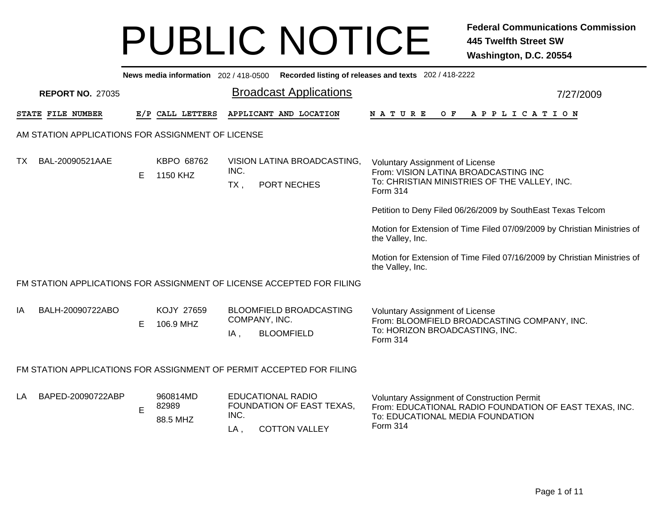|     | News media information 202 / 418-0500 Recorded listing of releases and texts 202 / 418-2222                                                                                                                                                                                                                                       |    |                         |                |                                                                       |                                                                                                                                            |  |  |  |  |  |  |  |
|-----|-----------------------------------------------------------------------------------------------------------------------------------------------------------------------------------------------------------------------------------------------------------------------------------------------------------------------------------|----|-------------------------|----------------|-----------------------------------------------------------------------|--------------------------------------------------------------------------------------------------------------------------------------------|--|--|--|--|--|--|--|
|     | <b>Broadcast Applications</b><br><b>REPORT NO. 27035</b><br>7/27/2009                                                                                                                                                                                                                                                             |    |                         |                |                                                                       |                                                                                                                                            |  |  |  |  |  |  |  |
|     | STATE FILE NUMBER                                                                                                                                                                                                                                                                                                                 |    | E/P CALL LETTERS        |                | APPLICANT AND LOCATION                                                | $O$ $F$<br>A P P L I C A T I O N<br><b>NATURE</b>                                                                                          |  |  |  |  |  |  |  |
|     | AM STATION APPLICATIONS FOR ASSIGNMENT OF LICENSE                                                                                                                                                                                                                                                                                 |    |                         |                |                                                                       |                                                                                                                                            |  |  |  |  |  |  |  |
| TX. | BAL-20090521AAE                                                                                                                                                                                                                                                                                                                   | E. | KBPO 68762<br>1150 KHZ  | INC.<br>$TX$ , | VISION LATINA BROADCASTING,<br>PORT NECHES                            | <b>Voluntary Assignment of License</b><br>From: VISION LATINA BROADCASTING INC<br>To: CHRISTIAN MINISTRIES OF THE VALLEY, INC.<br>Form 314 |  |  |  |  |  |  |  |
|     |                                                                                                                                                                                                                                                                                                                                   |    |                         |                |                                                                       | Petition to Deny Filed 06/26/2009 by SouthEast Texas Telcom                                                                                |  |  |  |  |  |  |  |
|     |                                                                                                                                                                                                                                                                                                                                   |    |                         |                |                                                                       | Motion for Extension of Time Filed 07/09/2009 by Christian Ministries of<br>the Valley, Inc.                                               |  |  |  |  |  |  |  |
|     |                                                                                                                                                                                                                                                                                                                                   |    |                         |                |                                                                       | Motion for Extension of Time Filed 07/16/2009 by Christian Ministries of<br>the Valley, Inc.                                               |  |  |  |  |  |  |  |
|     |                                                                                                                                                                                                                                                                                                                                   |    |                         |                | FM STATION APPLICATIONS FOR ASSIGNMENT OF LICENSE ACCEPTED FOR FILING |                                                                                                                                            |  |  |  |  |  |  |  |
| IA  | BALH-20090722ABO                                                                                                                                                                                                                                                                                                                  | E. | KOJY 27659<br>106.9 MHZ | IA,            | <b>BLOOMFIELD BROADCASTING</b><br>COMPANY, INC.<br><b>BLOOMFIELD</b>  | <b>Voluntary Assignment of License</b><br>From: BLOOMFIELD BROADCASTING COMPANY, INC.<br>To: HORIZON BROADCASTING, INC.<br>Form 314        |  |  |  |  |  |  |  |
|     |                                                                                                                                                                                                                                                                                                                                   |    |                         |                | FM STATION APPLICATIONS FOR ASSIGNMENT OF PERMIT ACCEPTED FOR FILING  |                                                                                                                                            |  |  |  |  |  |  |  |
| LA  | <b>EDUCATIONAL RADIO</b><br>BAPED-20090722ABP<br>960814MD<br><b>Voluntary Assignment of Construction Permit</b><br>82989<br>FOUNDATION OF EAST TEXAS,<br>From: EDUCATIONAL RADIO FOUNDATION OF EAST TEXAS, INC.<br>$\mathsf E$<br>INC.<br>To: EDUCATIONAL MEDIA FOUNDATION<br>88.5 MHZ<br>Form 314<br><b>COTTON VALLEY</b><br>LA, |    |                         |                |                                                                       |                                                                                                                                            |  |  |  |  |  |  |  |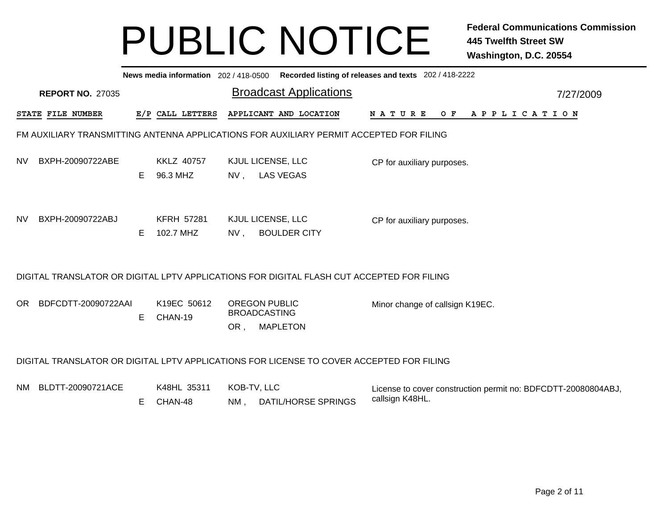|           | News media information 202 / 418-0500 Recorded listing of releases and texts 202 / 418-2222 |    |                                |                       |                                                                                           |                                                                                  |           |  |  |  |  |  |
|-----------|---------------------------------------------------------------------------------------------|----|--------------------------------|-----------------------|-------------------------------------------------------------------------------------------|----------------------------------------------------------------------------------|-----------|--|--|--|--|--|
|           | <b>REPORT NO. 27035</b>                                                                     |    |                                |                       | <b>Broadcast Applications</b>                                                             |                                                                                  | 7/27/2009 |  |  |  |  |  |
|           | STATE FILE NUMBER                                                                           |    | E/P CALL LETTERS               |                       | APPLICANT AND LOCATION                                                                    | N A T U R E<br>O F<br>A P P L I C A T I O N                                      |           |  |  |  |  |  |
|           |                                                                                             |    |                                |                       | FM AUXILIARY TRANSMITTING ANTENNA APPLICATIONS FOR AUXILIARY PERMIT ACCEPTED FOR FILING   |                                                                                  |           |  |  |  |  |  |
| <b>NV</b> | BXPH-20090722ABE                                                                            | E. | <b>KKLZ 40757</b><br>96.3 MHZ  | NV,                   | KJUL LICENSE, LLC<br><b>LAS VEGAS</b>                                                     | CP for auxiliary purposes.                                                       |           |  |  |  |  |  |
| <b>NV</b> | BXPH-20090722ABJ                                                                            | Е  | <b>KFRH 57281</b><br>102.7 MHZ | $NV$ ,                | KJUL LICENSE, LLC<br><b>BOULDER CITY</b>                                                  | CP for auxiliary purposes.                                                       |           |  |  |  |  |  |
|           |                                                                                             |    |                                |                       | DIGITAL TRANSLATOR OR DIGITAL LPTV APPLICATIONS FOR DIGITAL FLASH CUT ACCEPTED FOR FILING |                                                                                  |           |  |  |  |  |  |
| OR.       | BDFCDTT-20090722AAI                                                                         | E  | K19EC 50612<br>CHAN-19         | OR,                   | <b>OREGON PUBLIC</b><br><b>BROADCASTING</b><br><b>MAPLETON</b>                            | Minor change of callsign K19EC.                                                  |           |  |  |  |  |  |
|           |                                                                                             |    |                                |                       | DIGITAL TRANSLATOR OR DIGITAL LPTV APPLICATIONS FOR LICENSE TO COVER ACCEPTED FOR FILING  |                                                                                  |           |  |  |  |  |  |
| NM.       | BLDTT-20090721ACE                                                                           | E. | K48HL 35311<br>CHAN-48         | KOB-TV, LLC<br>$NM$ , | <b>DATIL/HORSE SPRINGS</b>                                                                | License to cover construction permit no: BDFCDTT-20080804ABJ,<br>callsign K48HL. |           |  |  |  |  |  |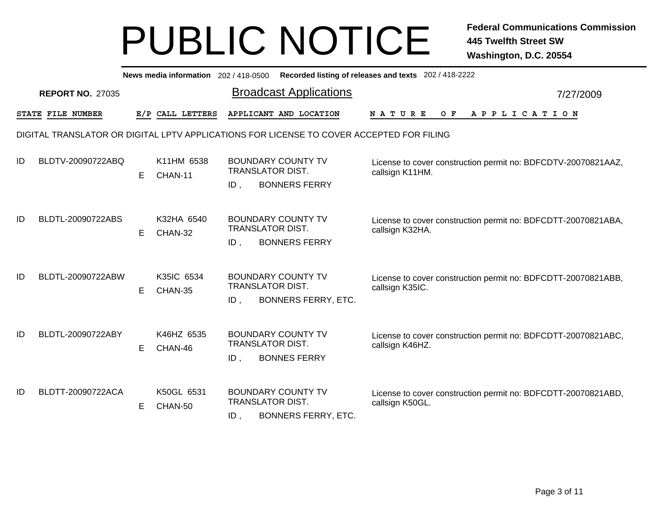|    | News media information 202/418-0500 Recorded listing of releases and texts 202/418-2222  |    |                       |                                   |                                                         |                                                                                  |  |  |  |  |  |  |
|----|------------------------------------------------------------------------------------------|----|-----------------------|-----------------------------------|---------------------------------------------------------|----------------------------------------------------------------------------------|--|--|--|--|--|--|
|    | <b>Broadcast Applications</b><br><b>REPORT NO. 27035</b><br>7/27/2009                    |    |                       |                                   |                                                         |                                                                                  |  |  |  |  |  |  |
|    | STATE FILE NUMBER                                                                        |    | E/P CALL LETTERS      |                                   | APPLICANT AND LOCATION                                  | O F<br>A P P L I C A T I O N<br><b>NATURE</b>                                    |  |  |  |  |  |  |
|    | DIGITAL TRANSLATOR OR DIGITAL LPTV APPLICATIONS FOR LICENSE TO COVER ACCEPTED FOR FILING |    |                       |                                   |                                                         |                                                                                  |  |  |  |  |  |  |
| ID | BLDTV-20090722ABQ                                                                        | E. | K11HM 6538<br>CHAN-11 | <b>TRANSLATOR DIST.</b><br>ID.    | <b>BOUNDARY COUNTY TV</b><br><b>BONNERS FERRY</b>       | License to cover construction permit no: BDFCDTV-20070821AAZ,<br>callsign K11HM. |  |  |  |  |  |  |
| ID | BLDTL-20090722ABS                                                                        | E. | K32HA 6540<br>CHAN-32 | TRANSLATOR DIST.<br>$ID$ ,        | <b>BOUNDARY COUNTY TV</b><br><b>BONNERS FERRY</b>       | License to cover construction permit no: BDFCDTT-20070821ABA,<br>callsign K32HA. |  |  |  |  |  |  |
| ID | BLDTL-20090722ABW                                                                        | E. | K35IC 6534<br>CHAN-35 | TRANSLATOR DIST.<br>$ID$ ,        | <b>BOUNDARY COUNTY TV</b><br><b>BONNERS FERRY, ETC.</b> | License to cover construction permit no: BDFCDTT-20070821ABB,<br>callsign K35IC. |  |  |  |  |  |  |
| ID | BLDTL-20090722ABY                                                                        | E  | K46HZ 6535<br>CHAN-46 | <b>TRANSLATOR DIST.</b><br>$ID$ . | <b>BOUNDARY COUNTY TV</b><br><b>BONNES FERRY</b>        | License to cover construction permit no: BDFCDTT-20070821ABC,<br>callsign K46HZ. |  |  |  |  |  |  |
| ID | BLDTT-20090722ACA                                                                        | E. | K50GL 6531<br>CHAN-50 | TRANSLATOR DIST.<br>$ID$ ,        | <b>BOUNDARY COUNTY TV</b><br><b>BONNERS FERRY, ETC.</b> | License to cover construction permit no: BDFCDTT-20070821ABD,<br>callsign K50GL. |  |  |  |  |  |  |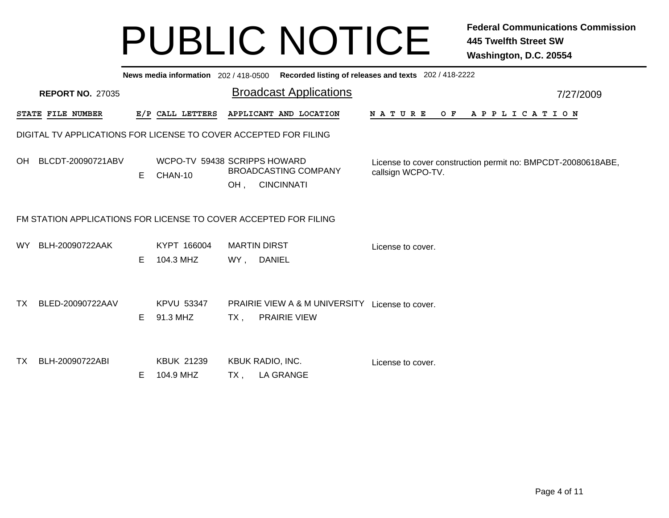|                                                                       | News media information 202/418-0500 Recorded listing of releases and texts 202/418-2222 |    |                                         |        |                                                                        |                                                                                   |  |  |  |  |  |  |
|-----------------------------------------------------------------------|-----------------------------------------------------------------------------------------|----|-----------------------------------------|--------|------------------------------------------------------------------------|-----------------------------------------------------------------------------------|--|--|--|--|--|--|
| <b>Broadcast Applications</b><br><b>REPORT NO. 27035</b><br>7/27/2009 |                                                                                         |    |                                         |        |                                                                        |                                                                                   |  |  |  |  |  |  |
|                                                                       | <b>STATE FILE NUMBER</b>                                                                |    | E/P CALL LETTERS                        |        | APPLICANT AND LOCATION                                                 | N A T U R E<br>O F<br>A P P L I C A T I O N                                       |  |  |  |  |  |  |
|                                                                       | DIGITAL TV APPLICATIONS FOR LICENSE TO COVER ACCEPTED FOR FILING                        |    |                                         |        |                                                                        |                                                                                   |  |  |  |  |  |  |
|                                                                       | OH BLCDT-20090721ABV                                                                    | E. | WCPO-TV 59438 SCRIPPS HOWARD<br>CHAN-10 | OH,    | <b>BROADCASTING COMPANY</b><br><b>CINCINNATI</b>                       | License to cover construction permit no: BMPCDT-20080618ABE,<br>callsign WCPO-TV. |  |  |  |  |  |  |
|                                                                       | FM STATION APPLICATIONS FOR LICENSE TO COVER ACCEPTED FOR FILING                        |    |                                         |        |                                                                        |                                                                                   |  |  |  |  |  |  |
|                                                                       | WY BLH-20090722AAK                                                                      | E. | KYPT 166004<br>104.3 MHZ                |        | <b>MARTIN DIRST</b><br>WY, DANIEL                                      | License to cover.                                                                 |  |  |  |  |  |  |
| TX.                                                                   | BLED-20090722AAV                                                                        | E. | <b>KPVU 53347</b><br>91.3 MHZ           | $TX$ , | PRAIRIE VIEW A & M UNIVERSITY License to cover.<br><b>PRAIRIE VIEW</b> |                                                                                   |  |  |  |  |  |  |
| TX                                                                    | BLH-20090722ABI                                                                         | E. | <b>KBUK 21239</b><br>104.9 MHZ          | TX.    | KBUK RADIO, INC.<br><b>LA GRANGE</b>                                   | License to cover.                                                                 |  |  |  |  |  |  |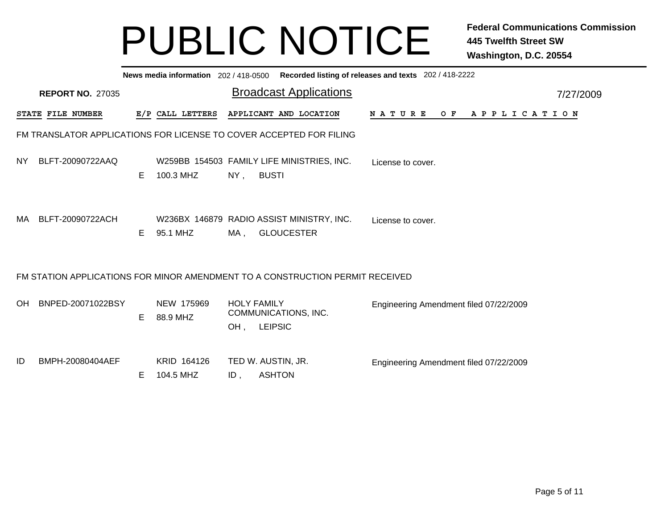|    | News media information 202/418-0500 Recorded listing of releases and texts 202/418-2222 |                                                                               |   |                        |                                            |                           |                |                               |  |  |                   |  |  |                                        |         |                       |  |  |           |
|----|-----------------------------------------------------------------------------------------|-------------------------------------------------------------------------------|---|------------------------|--------------------------------------------|---------------------------|----------------|-------------------------------|--|--|-------------------|--|--|----------------------------------------|---------|-----------------------|--|--|-----------|
|    |                                                                                         | <b>REPORT NO. 27035</b>                                                       |   |                        |                                            |                           |                | <b>Broadcast Applications</b> |  |  |                   |  |  |                                        |         |                       |  |  | 7/27/2009 |
|    |                                                                                         | <b>STATE FILE NUMBER</b>                                                      |   |                        | E/P CALL LETTERS                           |                           |                | APPLICANT AND LOCATION        |  |  | <b>NATURE</b>     |  |  |                                        | $O$ $F$ | A P P L I C A T I O N |  |  |           |
|    |                                                                                         | FM TRANSLATOR APPLICATIONS FOR LICENSE TO COVER ACCEPTED FOR FILING           |   |                        |                                            |                           |                |                               |  |  |                   |  |  |                                        |         |                       |  |  |           |
|    |                                                                                         | NY BLFT-20090722AAQ                                                           | E | 100.3 MHZ              | W259BB 154503 FAMILY LIFE MINISTRIES, INC. | NY,                       | <b>BUSTI</b>   |                               |  |  | License to cover. |  |  |                                        |         |                       |  |  |           |
|    |                                                                                         | MA BLFT-20090722ACH                                                           | E | 95.1 MHZ               | W236BX 146879 RADIO ASSIST MINISTRY, INC.  | MA .                      |                | <b>GLOUCESTER</b>             |  |  | License to cover. |  |  |                                        |         |                       |  |  |           |
|    |                                                                                         | FM STATION APPLICATIONS FOR MINOR AMENDMENT TO A CONSTRUCTION PERMIT RECEIVED |   |                        |                                            |                           |                |                               |  |  |                   |  |  |                                        |         |                       |  |  |           |
| OH |                                                                                         | BNPED-20071022BSY                                                             | E | NEW 175969<br>88.9 MHZ |                                            | <b>HOLY FAMILY</b><br>OH. | <b>LEIPSIC</b> | COMMUNICATIONS, INC.          |  |  |                   |  |  | Engineering Amendment filed 07/22/2009 |         |                       |  |  |           |
| ID |                                                                                         | BMPH-20080404AEF                                                              | Е | 104.5 MHZ              | KRID 164126                                | ID,                       | <b>ASHTON</b>  | TED W. AUSTIN, JR.            |  |  |                   |  |  | Engineering Amendment filed 07/22/2009 |         |                       |  |  |           |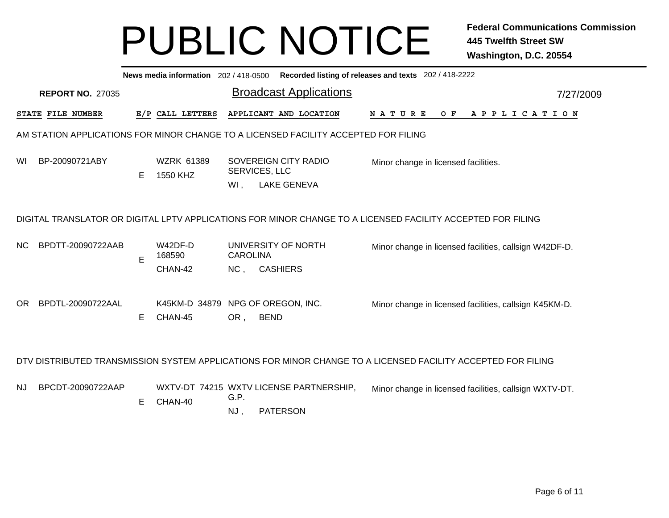|                | News media information 202 / 418-0500 Recorded listing of releases and texts 202 / 418-2222 |   |                                              |                 |                                                                                     |                                                                                                              |  |  |  |  |  |  |  |
|----------------|---------------------------------------------------------------------------------------------|---|----------------------------------------------|-----------------|-------------------------------------------------------------------------------------|--------------------------------------------------------------------------------------------------------------|--|--|--|--|--|--|--|
|                | <b>Broadcast Applications</b><br><b>REPORT NO. 27035</b><br>7/27/2009                       |   |                                              |                 |                                                                                     |                                                                                                              |  |  |  |  |  |  |  |
|                | STATE FILE NUMBER                                                                           |   | E/P CALL LETTERS                             |                 | APPLICANT AND LOCATION                                                              | N A T U R E<br>O F<br>A P P L I C A T I O N                                                                  |  |  |  |  |  |  |  |
|                |                                                                                             |   |                                              |                 | AM STATION APPLICATIONS FOR MINOR CHANGE TO A LICENSED FACILITY ACCEPTED FOR FILING |                                                                                                              |  |  |  |  |  |  |  |
| WI             | BP-20090721ABY                                                                              | Е | <b>WZRK 61389</b><br>1550 KHZ                | $WI$ ,          | SOVEREIGN CITY RADIO<br>SERVICES, LLC<br><b>LAKE GENEVA</b>                         | Minor change in licensed facilities.                                                                         |  |  |  |  |  |  |  |
|                |                                                                                             |   |                                              |                 |                                                                                     | DIGITAL TRANSLATOR OR DIGITAL LPTV APPLICATIONS FOR MINOR CHANGE TO A LICENSED FACILITY ACCEPTED FOR FILING  |  |  |  |  |  |  |  |
| N <sub>C</sub> | BPDTT-20090722AAB                                                                           | E | W42DF-D<br>168590                            | <b>CAROLINA</b> | UNIVERSITY OF NORTH                                                                 | Minor change in licensed facilities, callsign W42DF-D.                                                       |  |  |  |  |  |  |  |
|                |                                                                                             |   | CHAN-42                                      | NC,             | <b>CASHIERS</b>                                                                     |                                                                                                              |  |  |  |  |  |  |  |
| OR.            | BPDTL-20090722AAL                                                                           | Е | K45KM-D 34879 NPG OF OREGON, INC.<br>CHAN-45 | OR,             | <b>BEND</b>                                                                         | Minor change in licensed facilities, callsign K45KM-D.                                                       |  |  |  |  |  |  |  |
|                |                                                                                             |   |                                              |                 |                                                                                     |                                                                                                              |  |  |  |  |  |  |  |
|                |                                                                                             |   |                                              |                 |                                                                                     | DTV DISTRIBUTED TRANSMISSION SYSTEM APPLICATIONS FOR MINOR CHANGE TO A LICENSED FACILITY ACCEPTED FOR FILING |  |  |  |  |  |  |  |
| NJ.            | BPCDT-20090722AAP                                                                           | E | CHAN-40                                      | G.P.            | WXTV-DT 74215 WXTV LICENSE PARTNERSHIP,                                             | Minor change in licensed facilities, callsign WXTV-DT.                                                       |  |  |  |  |  |  |  |
|                |                                                                                             |   |                                              | NJ,             | <b>PATERSON</b>                                                                     |                                                                                                              |  |  |  |  |  |  |  |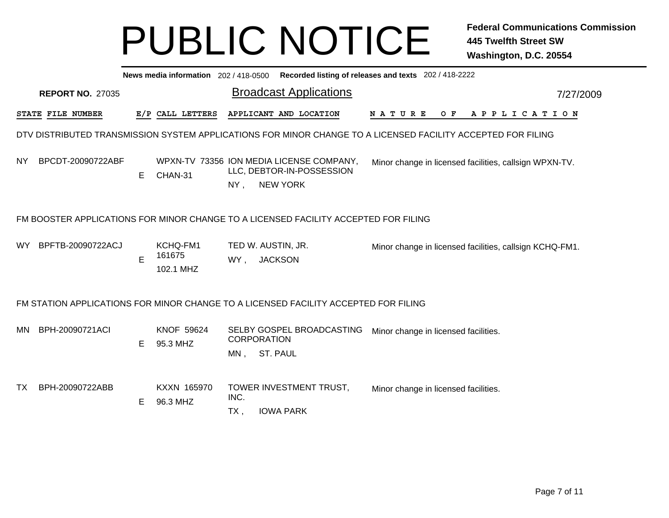|      | News media information 202/418-0500 Recorded listing of releases and texts 202/418-2222 |  |   |                                 |                           |                |                                                                                                              |                                                         |  |  |  |  |  |  |                |           |  |
|------|-----------------------------------------------------------------------------------------|--|---|---------------------------------|---------------------------|----------------|--------------------------------------------------------------------------------------------------------------|---------------------------------------------------------|--|--|--|--|--|--|----------------|-----------|--|
|      | <b>REPORT NO. 27035</b>                                                                 |  |   |                                 |                           |                | <b>Broadcast Applications</b>                                                                                |                                                         |  |  |  |  |  |  |                | 7/27/2009 |  |
|      | <b>STATE FILE NUMBER</b>                                                                |  |   | E/P CALL LETTERS                |                           |                | APPLICANT AND LOCATION                                                                                       | N A T U R E                                             |  |  |  |  |  |  | OF APPLICATION |           |  |
|      |                                                                                         |  |   |                                 |                           |                | DTV DISTRIBUTED TRANSMISSION SYSTEM APPLICATIONS FOR MINOR CHANGE TO A LICENSED FACILITY ACCEPTED FOR FILING |                                                         |  |  |  |  |  |  |                |           |  |
| NY   | BPCDT-20090722ABF                                                                       |  | Е | CHAN-31                         | $NY$ .                    |                | WPXN-TV 73356 ION MEDIA LICENSE COMPANY,<br>LLC, DEBTOR-IN-POSSESSION<br><b>NEW YORK</b>                     | Minor change in licensed facilities, callsign WPXN-TV.  |  |  |  |  |  |  |                |           |  |
|      |                                                                                         |  |   |                                 |                           |                | FM BOOSTER APPLICATIONS FOR MINOR CHANGE TO A LICENSED FACILITY ACCEPTED FOR FILING                          |                                                         |  |  |  |  |  |  |                |           |  |
| WY l | BPFTB-20090722ACJ                                                                       |  | E | KCHQ-FM1<br>161675<br>102.1 MHZ | WY,                       | <b>JACKSON</b> | TED W. AUSTIN, JR.                                                                                           | Minor change in licensed facilities, callsign KCHQ-FM1. |  |  |  |  |  |  |                |           |  |
|      |                                                                                         |  |   |                                 |                           |                | FM STATION APPLICATIONS FOR MINOR CHANGE TO A LICENSED FACILITY ACCEPTED FOR FILING                          |                                                         |  |  |  |  |  |  |                |           |  |
|      | MN BPH-20090721ACI                                                                      |  | E | <b>KNOF 59624</b><br>95.3 MHZ   | <b>CORPORATION</b><br>MN, | ST. PAUL       | SELBY GOSPEL BROADCASTING                                                                                    | Minor change in licensed facilities.                    |  |  |  |  |  |  |                |           |  |
| TX   | BPH-20090722ABB                                                                         |  | Е | KXXN 165970<br>96.3 MHZ         | INC.<br>$TX$ ,            |                | TOWER INVESTMENT TRUST,<br><b>IOWA PARK</b>                                                                  | Minor change in licensed facilities.                    |  |  |  |  |  |  |                |           |  |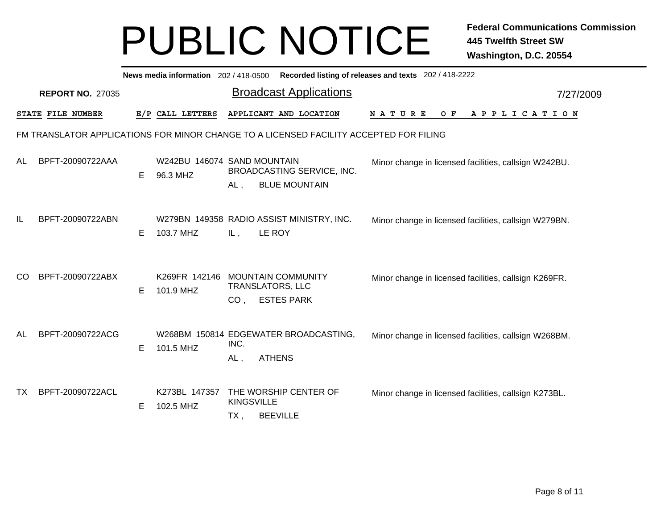|    | News media information 202/418-0500 Recorded listing of releases and texts 202/418-2222 |   |                                         |                          |                                                                                        |                                                       |           |  |  |  |  |  |
|----|-----------------------------------------------------------------------------------------|---|-----------------------------------------|--------------------------|----------------------------------------------------------------------------------------|-------------------------------------------------------|-----------|--|--|--|--|--|
|    | <b>REPORT NO. 27035</b>                                                                 |   |                                         |                          | <b>Broadcast Applications</b>                                                          |                                                       | 7/27/2009 |  |  |  |  |  |
|    | STATE FILE NUMBER                                                                       |   | E/P CALL LETTERS                        |                          | APPLICANT AND LOCATION                                                                 | <b>NATURE</b><br>O F<br>A P P L I C A T I O N         |           |  |  |  |  |  |
|    |                                                                                         |   |                                         |                          | FM TRANSLATOR APPLICATIONS FOR MINOR CHANGE TO A LICENSED FACILITY ACCEPTED FOR FILING |                                                       |           |  |  |  |  |  |
| AL | BPFT-20090722AAA                                                                        | Е | W242BU 146074 SAND MOUNTAIN<br>96.3 MHZ | $AL$ ,                   | BROADCASTING SERVICE, INC.<br><b>BLUE MOUNTAIN</b>                                     | Minor change in licensed facilities, callsign W242BU. |           |  |  |  |  |  |
| IL | BPFT-20090722ABN                                                                        | Е | 103.7 MHZ                               | IL,                      | W279BN 149358 RADIO ASSIST MINISTRY, INC.<br>LE ROY                                    | Minor change in licensed facilities, callsign W279BN. |           |  |  |  |  |  |
| CO | BPFT-20090722ABX                                                                        | Е | K269FR 142146<br>101.9 MHZ              | CO,                      | <b>MOUNTAIN COMMUNITY</b><br><b>TRANSLATORS, LLC</b><br><b>ESTES PARK</b>              | Minor change in licensed facilities, callsign K269FR. |           |  |  |  |  |  |
| AL | BPFT-20090722ACG                                                                        | Е | 101.5 MHZ                               | INC.<br>AL,              | W268BM 150814 EDGEWATER BROADCASTING,<br><b>ATHENS</b>                                 | Minor change in licensed facilities, callsign W268BM. |           |  |  |  |  |  |
| TX | BPFT-20090722ACL                                                                        | Е | K273BL 147357<br>102.5 MHZ              | <b>KINGSVILLE</b><br>TX, | THE WORSHIP CENTER OF<br><b>BEEVILLE</b>                                               | Minor change in licensed facilities, callsign K273BL. |           |  |  |  |  |  |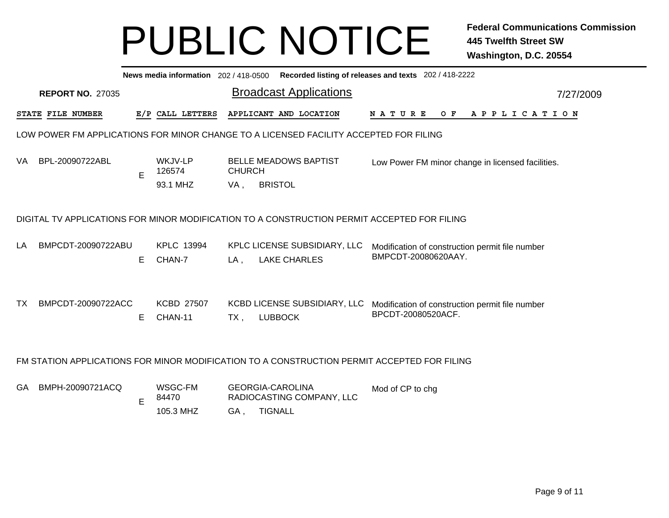|     | News media information 202/418-0500 Recorded listing of releases and texts 202/418-2222 |          |                                 |               |                                                                                                                             |                                                                        |  |  |  |  |  |  |  |  |
|-----|-----------------------------------------------------------------------------------------|----------|---------------------------------|---------------|-----------------------------------------------------------------------------------------------------------------------------|------------------------------------------------------------------------|--|--|--|--|--|--|--|--|
|     | <b>Broadcast Applications</b><br><b>REPORT NO. 27035</b><br>7/27/2009                   |          |                                 |               |                                                                                                                             |                                                                        |  |  |  |  |  |  |  |  |
|     | STATE FILE NUMBER                                                                       |          | E/P CALL LETTERS                |               | APPLICANT AND LOCATION                                                                                                      | N A T U R E<br>O F<br>A P P L I C A T I O N                            |  |  |  |  |  |  |  |  |
|     |                                                                                         |          |                                 |               | LOW POWER FM APPLICATIONS FOR MINOR CHANGE TO A LICENSED FACILITY ACCEPTED FOR FILING                                       |                                                                        |  |  |  |  |  |  |  |  |
| VA. | BPL-20090722ABL                                                                         | Е        | WKJV-LP<br>126574               | <b>CHURCH</b> | <b>BELLE MEADOWS BAPTIST</b>                                                                                                | Low Power FM minor change in licensed facilities.                      |  |  |  |  |  |  |  |  |
|     |                                                                                         |          | 93.1 MHZ                        | VA,           | <b>BRISTOL</b>                                                                                                              |                                                                        |  |  |  |  |  |  |  |  |
| LA  | BMPCDT-20090722ABU                                                                      |          | KPLC 13994                      |               | DIGITAL TV APPLICATIONS FOR MINOR MODIFICATION TO A CONSTRUCTION PERMIT ACCEPTED FOR FILING<br>KPLC LICENSE SUBSIDIARY, LLC | Modification of construction permit file number<br>BMPCDT-20080620AAY. |  |  |  |  |  |  |  |  |
| TΧ. | BMPCDT-20090722ACC                                                                      | E.<br>E. | CHAN-7<br>KCBD 27507<br>CHAN-11 | LA,<br>TX,    | <b>LAKE CHARLES</b><br>KCBD LICENSE SUBSIDIARY, LLC<br><b>LUBBOCK</b>                                                       | Modification of construction permit file number<br>BPCDT-20080520ACF.  |  |  |  |  |  |  |  |  |
|     |                                                                                         |          |                                 |               | FM STATION APPLICATIONS FOR MINOR MODIFICATION TO A CONSTRUCTION PERMIT ACCEPTED FOR FILING                                 |                                                                        |  |  |  |  |  |  |  |  |
| GA  | BMPH-20090721ACQ                                                                        | E        | WSGC-FM<br>84470                |               | <b>GEORGIA-CAROLINA</b><br>RADIOCASTING COMPANY, LLC                                                                        | Mod of CP to chg                                                       |  |  |  |  |  |  |  |  |
|     |                                                                                         |          | 105.3 MHZ                       | GA,           | <b>TIGNALL</b>                                                                                                              |                                                                        |  |  |  |  |  |  |  |  |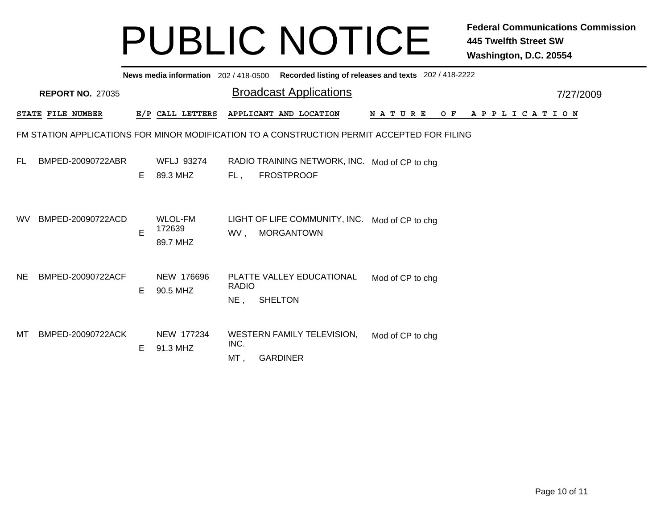|           | News media information 202/418-0500 Recorded listing of releases and texts 202/418-2222     |    |                                      |                        |                                                                     |                      |                       |  |  |  |  |  |  |
|-----------|---------------------------------------------------------------------------------------------|----|--------------------------------------|------------------------|---------------------------------------------------------------------|----------------------|-----------------------|--|--|--|--|--|--|
|           | <b>REPORT NO. 27035</b>                                                                     |    |                                      |                        | <b>Broadcast Applications</b>                                       |                      | 7/27/2009             |  |  |  |  |  |  |
|           | STATE FILE NUMBER                                                                           |    | E/P CALL LETTERS                     |                        | APPLICANT AND LOCATION                                              | O F<br><b>NATURE</b> | A P P L I C A T I O N |  |  |  |  |  |  |
|           | FM STATION APPLICATIONS FOR MINOR MODIFICATION TO A CONSTRUCTION PERMIT ACCEPTED FOR FILING |    |                                      |                        |                                                                     |                      |                       |  |  |  |  |  |  |
| FL.       | BMPED-20090722ABR                                                                           | E. | WFLJ 93274<br>89.3 MHZ               | FL,                    | RADIO TRAINING NETWORK, INC. Mod of CP to chg<br><b>FROSTPROOF</b>  |                      |                       |  |  |  |  |  |  |
| <b>WV</b> | BMPED-20090722ACD                                                                           | E  | <b>WLOL-FM</b><br>172639<br>89.7 MHZ | WV,                    | LIGHT OF LIFE COMMUNITY, INC. Mod of CP to chg<br><b>MORGANTOWN</b> |                      |                       |  |  |  |  |  |  |
| NE.       | BMPED-20090722ACF                                                                           | E. | NEW 176696<br>90.5 MHZ               | <b>RADIO</b><br>$NE$ , | PLATTE VALLEY EDUCATIONAL<br><b>SHELTON</b>                         | Mod of CP to chg     |                       |  |  |  |  |  |  |
| МT        | BMPED-20090722ACK                                                                           | E. | NEW 177234<br>91.3 MHZ               | INC.<br>MT,            | <b>WESTERN FAMILY TELEVISION,</b><br><b>GARDINER</b>                | Mod of CP to chg     |                       |  |  |  |  |  |  |